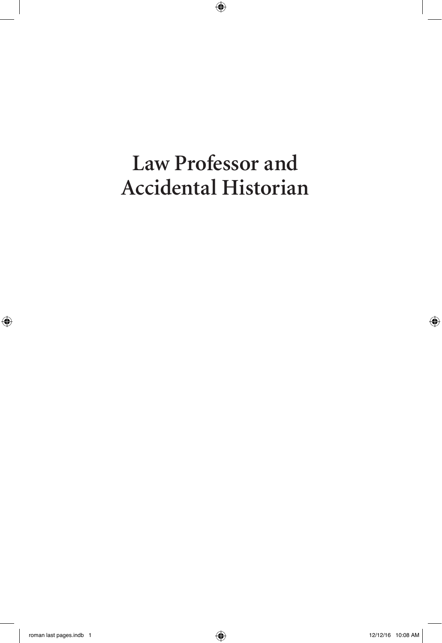# **Law Professor and Accidental Historian**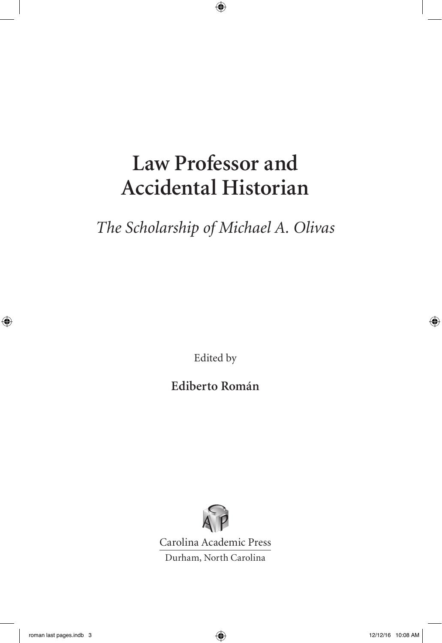## **Law Professor and Accidental Historian**

*The Scholarship of Michael A. Olivas*

Edited by

**Ediberto Román**



Carolina Academic Press Durham, North Carolina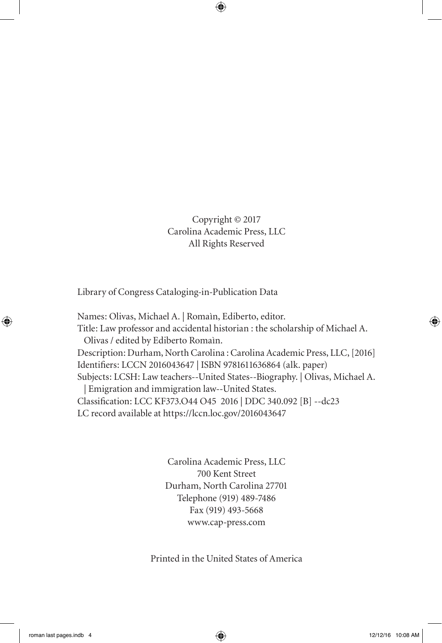Copyright © 2017 Carolina Academic Press, LLC All Rights Reserved

Library of Congress Cataloging-in-Publication Data

Names: Olivas, Michael A. | Romaìn, Ediberto, editor. Title: Law professor and accidental historian : the scholarship of Michael A. Olivas / edited by Ediberto Romaìn. Description: Durham, North Carolina : Carolina Academic Press, LLC, [2016] Identifiers: LCCN 2016043647 | ISBN 9781611636864 (alk. paper) Subjects: LCSH: Law teachers--United States--Biography. | Olivas, Michael A. | Emigration and immigration law--United States. Classification: LCC KF373.O44 O45 2016 | DDC 340.092 [B] --dc23 LC record available at https://lccn.loc.gov/2016043647

> Carolina Academic Press, LLC 700 Kent Street Durham, North Carolina 27701 Telephone (919) 489-7486 Fax (919) 493-5668 www.cap-press.com

Printed in the United States of America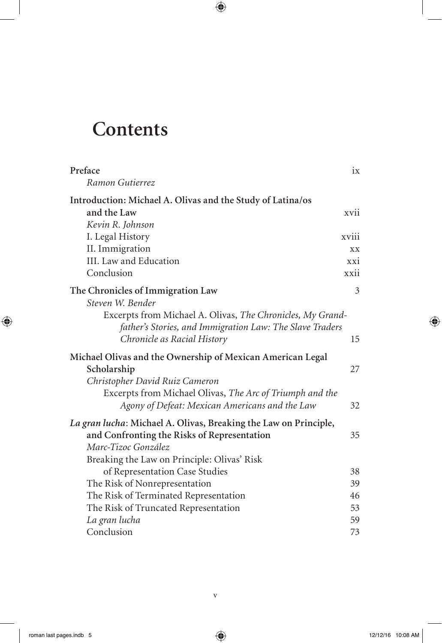## **Contents**

| Preface                                                                                                                | ix                          |
|------------------------------------------------------------------------------------------------------------------------|-----------------------------|
| Ramon Gutierrez                                                                                                        |                             |
| Introduction: Michael A. Olivas and the Study of Latina/os                                                             |                             |
| and the Law                                                                                                            | xvii                        |
| Kevin R. Johnson                                                                                                       |                             |
| I. Legal History                                                                                                       | xviii                       |
| II. Immigration                                                                                                        | XX.                         |
| III. Law and Education                                                                                                 | $\overline{X}X\overline{1}$ |
| Conclusion                                                                                                             | xxii                        |
| The Chronicles of Immigration Law                                                                                      | 3                           |
| Steven W. Bender                                                                                                       |                             |
| Excerpts from Michael A. Olivas, The Chronicles, My Grand-<br>father's Stories, and Immigration Law: The Slave Traders |                             |
| Chronicle as Racial History                                                                                            | 15                          |
| Michael Olivas and the Ownership of Mexican American Legal                                                             |                             |
| Scholarship                                                                                                            | 27                          |
| Christopher David Ruiz Cameron                                                                                         |                             |
| Excerpts from Michael Olivas, The Arc of Triumph and the                                                               |                             |
| Agony of Defeat: Mexican Americans and the Law                                                                         | 32                          |
| La gran lucha: Michael A. Olivas, Breaking the Law on Principle,                                                       |                             |
| and Confronting the Risks of Representation                                                                            | 35                          |
| Marc-Tizoc González                                                                                                    |                             |
| Breaking the Law on Principle: Olivas' Risk                                                                            |                             |
| of Representation Case Studies                                                                                         | 38                          |
| The Risk of Nonrepresentation                                                                                          | 39                          |
| The Risk of Terminated Representation                                                                                  | 46                          |
| The Risk of Truncated Representation                                                                                   | 53                          |
| La gran lucha                                                                                                          | 59                          |
| Conclusion                                                                                                             | 73                          |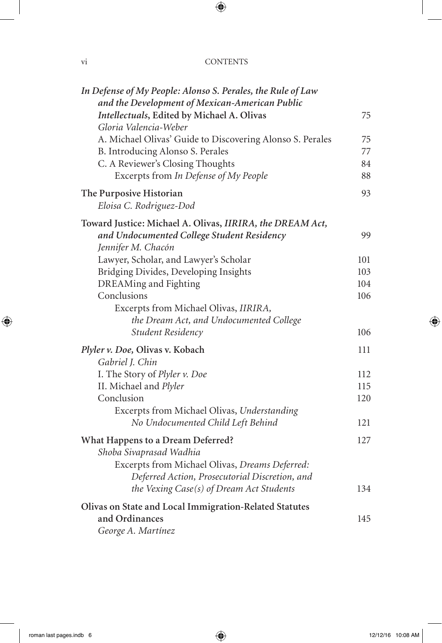### vi CONTENTS

| In Defense of My People: Alonso S. Perales, the Rule of Law<br>and the Development of Mexican-American Public |     |
|---------------------------------------------------------------------------------------------------------------|-----|
| Intellectuals, Edited by Michael A. Olivas                                                                    | 75  |
| Gloria Valencia-Weber                                                                                         |     |
| A. Michael Olivas' Guide to Discovering Alonso S. Perales                                                     | 75  |
| B. Introducing Alonso S. Perales                                                                              | 77  |
| C. A Reviewer's Closing Thoughts                                                                              | 84  |
| Excerpts from In Defense of My People                                                                         | 88  |
| The Purposive Historian                                                                                       | 93  |
| Eloisa C. Rodriguez-Dod                                                                                       |     |
| Toward Justice: Michael A. Olivas, IIRIRA, the DREAM Act,                                                     |     |
| and Undocumented College Student Residency                                                                    | 99  |
| Jennifer M. Chacón                                                                                            |     |
| Lawyer, Scholar, and Lawyer's Scholar                                                                         | 101 |
| Bridging Divides, Developing Insights                                                                         | 103 |
| DREAMing and Fighting                                                                                         | 104 |
| Conclusions                                                                                                   | 106 |
| Excerpts from Michael Olivas, IIRIRA,                                                                         |     |
| the Dream Act, and Undocumented College                                                                       |     |
| Student Residency                                                                                             | 106 |
| Plyler v. Doe, Olivas v. Kobach                                                                               | 111 |
| Gabriel J. Chin                                                                                               |     |
| I. The Story of Plyler v. Doe                                                                                 | 112 |
| II. Michael and Plyler                                                                                        | 115 |
| Conclusion                                                                                                    | 120 |
| Excerpts from Michael Olivas, Understanding                                                                   |     |
| No Undocumented Child Left Behind                                                                             | 121 |
| What Happens to a Dream Deferred?                                                                             | 127 |
| Shoba Sivaprasad Wadhia                                                                                       |     |
| Excerpts from Michael Olivas, Dreams Deferred:                                                                |     |
| Deferred Action, Prosecutorial Discretion, and                                                                |     |
| the Vexing Case(s) of Dream Act Students                                                                      | 134 |
| Olivas on State and Local Immigration-Related Statutes                                                        |     |
| and Ordinances                                                                                                | 145 |
| George A. Martínez                                                                                            |     |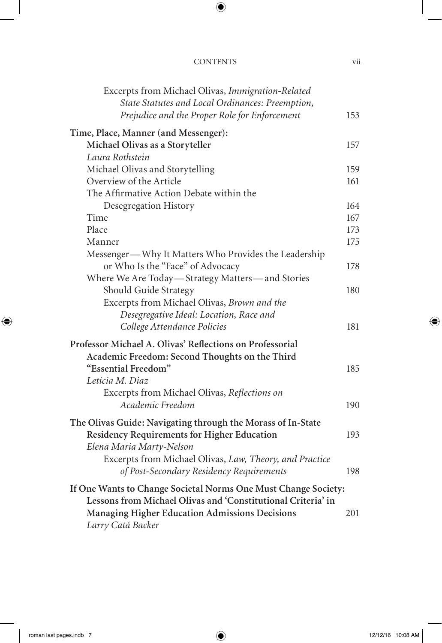| <b>CONTENTS</b> |  |
|-----------------|--|
|                 |  |

| Excerpts from Michael Olivas, Immigration-Related<br>State Statutes and Local Ordinances: Preemption, |     |
|-------------------------------------------------------------------------------------------------------|-----|
| Prejudice and the Proper Role for Enforcement                                                         | 153 |
| Time, Place, Manner (and Messenger):                                                                  |     |
| Michael Olivas as a Storyteller                                                                       | 157 |
| Laura Rothstein                                                                                       |     |
| Michael Olivas and Storytelling                                                                       | 159 |
| Overview of the Article                                                                               | 161 |
| The Affirmative Action Debate within the                                                              |     |
| Desegregation History                                                                                 | 164 |
| Time                                                                                                  | 167 |
| Place                                                                                                 | 173 |
| Manner                                                                                                | 175 |
| Messenger—Why It Matters Who Provides the Leadership                                                  |     |
| or Who Is the "Face" of Advocacy                                                                      | 178 |
| Where We Are Today—Strategy Matters—and Stories                                                       |     |
| Should Guide Strategy                                                                                 | 180 |
| Excerpts from Michael Olivas, Brown and the                                                           |     |
| Desegregative Ideal: Location, Race and                                                               |     |
| College Attendance Policies                                                                           | 181 |
| Professor Michael A. Olivas' Reflections on Professorial                                              |     |
| Academic Freedom: Second Thoughts on the Third                                                        |     |
| "Essential Freedom"                                                                                   | 185 |
| Leticia M. Diaz                                                                                       |     |
| Excerpts from Michael Olivas, Reflections on                                                          |     |
| Academic Freedom                                                                                      | 190 |
| The Olivas Guide: Navigating through the Morass of In-State                                           |     |
| Residency Requirements for Higher Education                                                           | 193 |
| Elena Maria Marty-Nelson                                                                              |     |
| Excerpts from Michael Olivas, Law, Theory, and Practice                                               |     |
| of Post-Secondary Residency Requirements                                                              | 198 |
|                                                                                                       |     |
| If One Wants to Change Societal Norms One Must Change Society:                                        |     |
| Lessons from Michael Olivas and 'Constitutional Criteria' in                                          |     |
| <b>Managing Higher Education Admissions Decisions</b>                                                 | 201 |
| Larry Catá Backer                                                                                     |     |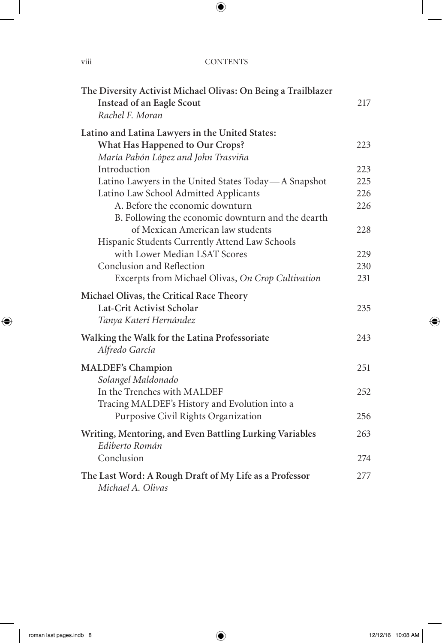| $\cdots$<br>V111 | <b>CONTENTS</b> |
|------------------|-----------------|
|                  |                 |

| The Diversity Activist Michael Olivas: On Being a Trailblazer |     |
|---------------------------------------------------------------|-----|
| Instead of an Eagle Scout                                     | 217 |
| Rachel F. Moran                                               |     |
| Latino and Latina Lawyers in the United States:               |     |
| What Has Happened to Our Crops?                               | 223 |
| María Pabón López and John Trasviña                           |     |
| Introduction                                                  | 223 |
| Latino Lawyers in the United States Today-A Snapshot          | 225 |
| Latino Law School Admitted Applicants                         | 226 |
| A. Before the economic downturn                               | 226 |
| B. Following the economic downturn and the dearth             |     |
| of Mexican American law students                              | 228 |
| Hispanic Students Currently Attend Law Schools                |     |
| with Lower Median LSAT Scores                                 | 229 |
| Conclusion and Reflection                                     | 230 |
| Excerpts from Michael Olivas, On Crop Cultivation             | 231 |
| Michael Olivas, the Critical Race Theory                      |     |
| Lat-Crit Activist Scholar                                     | 235 |
| Tanya Katerí Hernández                                        |     |
| Walking the Walk for the Latina Professoriate                 | 243 |
| Alfredo García                                                |     |
| <b>MALDEF's Champion</b>                                      | 251 |
| Solangel Maldonado                                            |     |
| In the Trenches with MALDEF                                   | 252 |
| Tracing MALDEF's History and Evolution into a                 |     |
| Purposive Civil Rights Organization                           | 256 |
| Writing, Mentoring, and Even Battling Lurking Variables       | 263 |
| Ediberto Román                                                |     |
| Conclusion                                                    | 274 |
| The Last Word: A Rough Draft of My Life as a Professor        | 277 |
| Michael A. Olivas                                             |     |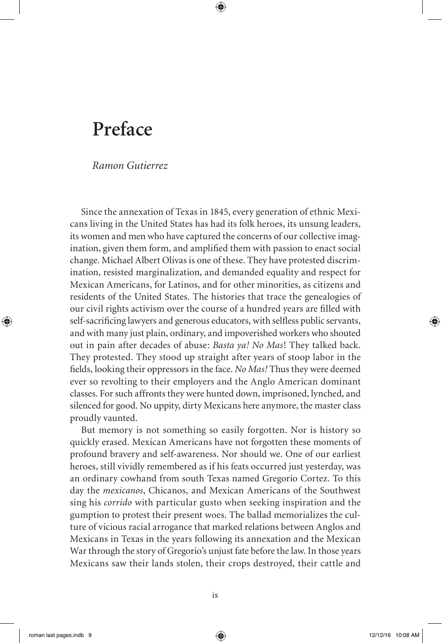## **Preface**

*Ramon Gutierrez*

Since the annexation of Texas in 1845, every generation of ethnic Mexicans living in the United States has had its folk heroes, its unsung leaders, its women and men who have captured the concerns of our collective imagination, given them form, and amplified them with passion to enact social change. Michael Albert Olivas is one of these. They have protested discrimination, resisted marginalization, and demanded equality and respect for Mexican Americans, for Latinos, and for other minorities, as citizens and residents of the United States. The histories that trace the genealogies of our civil rights activism over the course of a hundred years are filled with self-sacrificing lawyers and generous educators, with selfless public servants, and with many just plain, ordinary, and impoverished workers who shouted out in pain after decades of abuse: *Basta ya! No Mas*! They talked back. They protested. They stood up straight after years of stoop labor in the fields, looking their oppressors in the face. *No Mas!* Thus they were deemed ever so revolting to their employers and the Anglo American dominant classes. For such affronts they were hunted down, imprisoned, lynched, and silenced for good. No uppity, dirty Mexicans here anymore, the master class proudly vaunted.

But memory is not something so easily forgotten. Nor is history so quickly erased. Mexican Americans have not forgotten these moments of profound bravery and self-awareness. Nor should we. One of our earliest heroes, still vividly remembered as if his feats occurred just yesterday, was an ordinary cowhand from south Texas named Gregorio Cortez. To this day the *mexicanos*, Chicanos, and Mexican Americans of the Southwest sing his *corrido* with particular gusto when seeking inspiration and the gumption to protest their present woes. The ballad memorializes the culture of vicious racial arrogance that marked relations between Anglos and Mexicans in Texas in the years following its annexation and the Mexican War through the story of Gregorio's unjust fate before the law. In those years Mexicans saw their lands stolen, their crops destroyed, their cattle and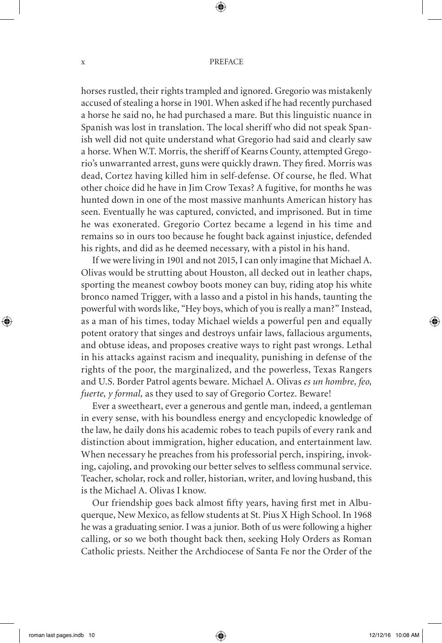#### $x \rightarrow P$

horses rustled, their rights trampled and ignored. Gregorio was mistakenly accused of stealing a horse in 1901. When asked if he had recently purchased a horse he said no, he had purchased a mare. But this linguistic nuance in Spanish was lost in translation. The local sheriff who did not speak Spanish well did not quite understand what Gregorio had said and clearly saw a horse. When W.T. Morris, the sheriff of Kearns County, attempted Gregorio's unwarranted arrest, guns were quickly drawn. They fired. Morris was dead, Cortez having killed him in self-defense. Of course, he fled. What other choice did he have in Jim Crow Texas? A fugitive, for months he was hunted down in one of the most massive manhunts American history has seen. Eventually he was captured, convicted, and imprisoned. But in time he was exonerated. Gregorio Cortez became a legend in his time and remains so in ours too because he fought back against injustice, defended his rights, and did as he deemed necessary, with a pistol in his hand.

If we were living in 1901 and not 2015, I can only imagine that Michael A. Olivas would be strutting about Houston, all decked out in leather chaps, sporting the meanest cowboy boots money can buy, riding atop his white bronco named Trigger, with a lasso and a pistol in his hands, taunting the powerful with words like, "Hey boys, which of you is really a man?" Instead, as a man of his times, today Michael wields a powerful pen and equally potent oratory that singes and destroys unfair laws, fallacious arguments, and obtuse ideas, and proposes creative ways to right past wrongs. Lethal in his attacks against racism and inequality, punishing in defense of the rights of the poor, the marginalized, and the powerless, Texas Rangers and U.S. Border Patrol agents beware. Michael A. Olivas *es un hombre, feo, fuerte, y formal,* as they used to say of Gregorio Cortez. Beware!

Ever a sweetheart, ever a generous and gentle man, indeed, a gentleman in every sense, with his boundless energy and encyclopedic knowledge of the law, he daily dons his academic robes to teach pupils of every rank and distinction about immigration, higher education, and entertainment law. When necessary he preaches from his professorial perch, inspiring, invoking, cajoling, and provoking our better selves to selfless communal service. Teacher, scholar, rock and roller, historian, writer, and loving husband, this is the Michael A. Olivas I know.

Our friendship goes back almost fifty years, having first met in Albuquerque, New Mexico, as fellow students at St. Pius X High School. In 1968 he was a graduating senior. I was a junior. Both of us were following a higher calling, or so we both thought back then, seeking Holy Orders as Roman Catholic priests. Neither the Archdiocese of Santa Fe nor the Order of the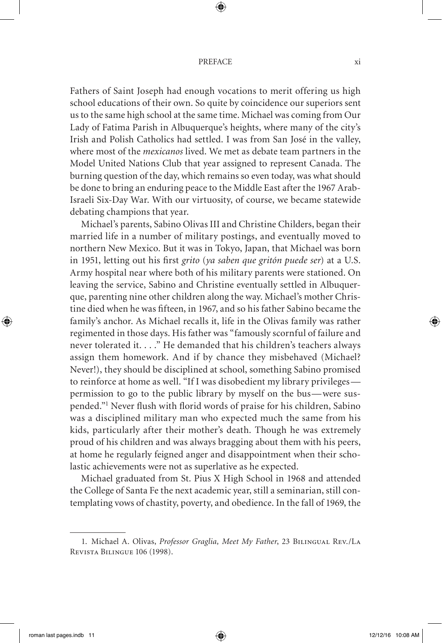#### PREFACE xi

Fathers of Saint Joseph had enough vocations to merit offering us high school educations of their own. So quite by coincidence our superiors sent us to the same high school at the same time. Michael was coming from Our Lady of Fatima Parish in Albuquerque's heights, where many of the city's Irish and Polish Catholics had settled. I was from San José in the valley, where most of the *mexicanos* lived. We met as debate team partners in the Model United Nations Club that year assigned to represent Canada. The burning question of the day, which remains so even today, was what should be done to bring an enduring peace to the Middle East after the 1967 Arab-Israeli Six-Day War. With our virtuosity, of course, we became statewide debating champions that year.

Michael's parents, Sabino Olivas III and Christine Childers, began their married life in a number of military postings, and eventually moved to northern New Mexico. But it was in Tokyo, Japan, that Michael was born in 1951, letting out his first *grito* (*ya saben que gritón puede ser*) at a U.S. Army hospital near where both of his military parents were stationed. On leaving the service, Sabino and Christine eventually settled in Albuquerque, parenting nine other children along the way. Michael's mother Christine died when he was fifteen, in 1967, and so his father Sabino became the family's anchor. As Michael recalls it, life in the Olivas family was rather regimented in those days. His father was "famously scornful of failure and never tolerated it. . . ." He demanded that his children's teachers always assign them homework. And if by chance they misbehaved (Michael? Never!), they should be disciplined at school, something Sabino promised to reinforce at home as well. "If I was disobedient my library privileges permission to go to the public library by myself on the bus— were suspended."1 Never flush with florid words of praise for his children, Sabino was a disciplined military man who expected much the same from his kids, particularly after their mother's death. Though he was extremely proud of his children and was always bragging about them with his peers, at home he regularly feigned anger and disappointment when their scholastic achievements were not as superlative as he expected.

Michael graduated from St. Pius X High School in 1968 and attended the College of Santa Fe the next academic year, still a seminarian, still contemplating vows of chastity, poverty, and obedience. In the fall of 1969, the

<sup>1.</sup> Michael A. Olivas, *Professor Graglia, Meet My Father*, 23 Bilingual Rev./La Revista Bilingue 106 (1998).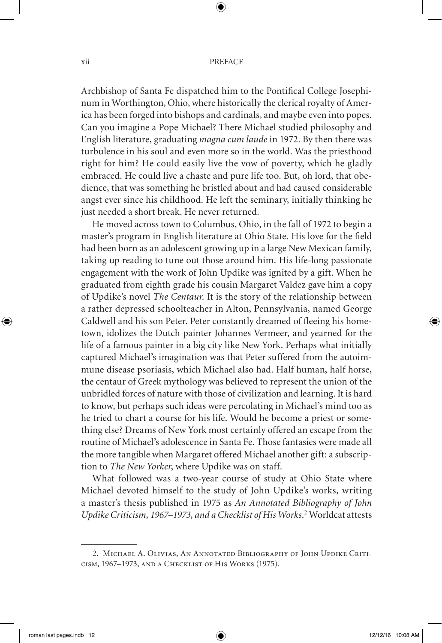Archbishop of Santa Fe dispatched him to the Pontifical College Josephinum in Worthington, Ohio, where historically the clerical royalty of America has been forged into bishops and cardinals, and maybe even into popes. Can you imagine a Pope Michael? There Michael studied philosophy and English literature, graduating *magna cum laude* in 1972. By then there was turbulence in his soul and even more so in the world. Was the priesthood right for him? He could easily live the vow of poverty, which he gladly embraced. He could live a chaste and pure life too. But, oh lord, that obedience, that was something he bristled about and had caused considerable angst ever since his childhood. He left the seminary, initially thinking he just needed a short break. He never returned.

He moved across town to Columbus, Ohio, in the fall of 1972 to begin a master's program in English literature at Ohio State. His love for the field had been born as an adolescent growing up in a large New Mexican family, taking up reading to tune out those around him. His life-long passionate engagement with the work of John Updike was ignited by a gift. When he graduated from eighth grade his cousin Margaret Valdez gave him a copy of Updike's novel *The Centaur*. It is the story of the relationship between a rather depressed schoolteacher in Alton, Pennsylvania, named George Caldwell and his son Peter. Peter constantly dreamed of fleeing his hometown, idolizes the Dutch painter Johannes Vermeer, and yearned for the life of a famous painter in a big city like New York. Perhaps what initially captured Michael's imagination was that Peter suffered from the autoimmune disease psoriasis, which Michael also had. Half human, half horse, the centaur of Greek mythology was believed to represent the union of the unbridled forces of nature with those of civilization and learning. It is hard to know, but perhaps such ideas were percolating in Michael's mind too as he tried to chart a course for his life. Would he become a priest or something else? Dreams of New York most certainly offered an escape from the routine of Michael's adolescence in Santa Fe. Those fantasies were made all the more tangible when Margaret offered Michael another gift: a subscription to *The New Yorker*, where Updike was on staff.

What followed was a two-year course of study at Ohio State where Michael devoted himself to the study of John Updike's works, writing a master's thesis published in 1975 as *An Annotated Bibliography of John*  Updike Criticism, 1967-1973, and a Checklist of His Works.<sup>2</sup> Worldcat attests

<sup>2.</sup> Michael A. Olivias, An Annotated Bibliography of John Updike Criticism, 1967–1973, and a Checklist of His Works (1975).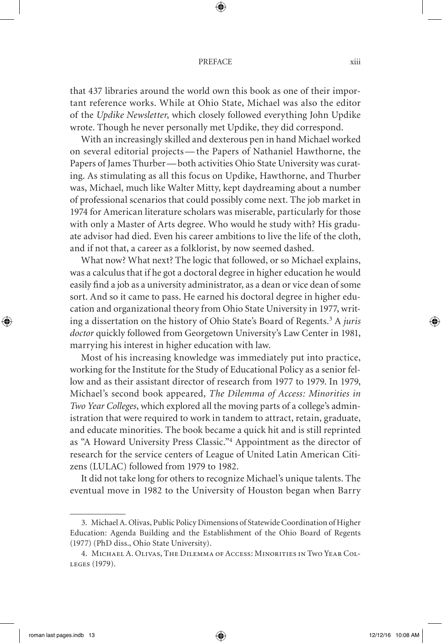#### PREFACE xiii

that 437 libraries around the world own this book as one of their important reference works. While at Ohio State, Michael was also the editor of the *Updike Newsletter*, which closely followed everything John Updike wrote. Though he never personally met Updike, they did correspond.

With an increasingly skilled and dexterous pen in hand Michael worked on several editorial projects— the Papers of Nathaniel Hawthorne, the Papers of James Thurber— both activities Ohio State University was curating. As stimulating as all this focus on Updike, Hawthorne, and Thurber was, Michael, much like Walter Mitty, kept daydreaming about a number of professional scenarios that could possibly come next. The job market in 1974 for American literature scholars was miserable, particularly for those with only a Master of Arts degree. Who would he study with? His graduate advisor had died. Even his career ambitions to live the life of the cloth, and if not that, a career as a folklorist, by now seemed dashed.

What now? What next? The logic that followed, or so Michael explains, was a calculus that if he got a doctoral degree in higher education he would easily find a job as a university administrator, as a dean or vice dean of some sort. And so it came to pass. He earned his doctoral degree in higher education and organizational theory from Ohio State University in 1977, writing a dissertation on the history of Ohio State's Board of Regents.<sup>3</sup> A *juris doctor* quickly followed from Georgetown University's Law Center in 1981, marrying his interest in higher education with law.

Most of his increasing knowledge was immediately put into practice, working for the Institute for the Study of Educational Policy as a senior fellow and as their assistant director of research from 1977 to 1979. In 1979, Michael's second book appeared, *The Dilemma of Access: Minorities in Two Year Colleges*, which explored all the moving parts of a college's administration that were required to work in tandem to attract, retain, graduate, and educate minorities. The book became a quick hit and is still reprinted as "A Howard University Press Classic."<sup>4</sup> Appointment as the director of research for the service centers of League of United Latin American Citizens (LULAC) followed from 1979 to 1982.

It did not take long for others to recognize Michael's unique talents. The eventual move in 1982 to the University of Houston began when Barry

<sup>3.</sup> MichaelA. Olivas, Public Policy Dimensions of Statewide Coordination of Higher Education: Agenda Building and the Establishment of the Ohio Board of Regents (1977) (PhD diss., Ohio State University).

<sup>4.</sup> Michael A. Olivas, The Dilemma of Access: Minorities in Two Year Colleges (1979).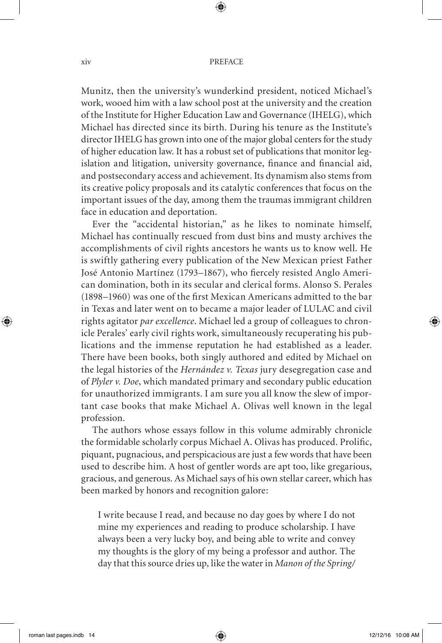Munitz, then the university's wunderkind president, noticed Michael's work, wooed him with a law school post at the university and the creation of the Institute for Higher Education Law and Governance (IHELG), which Michael has directed since its birth. During his tenure as the Institute's director IHELG has grown into one of the major global centers for the study of higher education law. It has a robust set of publications that monitor legislation and litigation, university governance, finance and financial aid, and postsecondary access and achievement. Its dynamism also stems from its creative policy proposals and its catalytic conferences that focus on the important issues of the day, among them the traumas immigrant children face in education and deportation.

Ever the "accidental historian," as he likes to nominate himself, Michael has continually rescued from dust bins and musty archives the accomplishments of civil rights ancestors he wants us to know well. He is swiftly gathering every publication of the New Mexican priest Father José Antonio Martínez (1793–1867), who fiercely resisted Anglo American domination, both in its secular and clerical forms. Alonso S. Perales (1898–1960) was one of the first Mexican Americans admitted to the bar in Texas and later went on to became a major leader of LULAC and civil rights agitator *par excellence*. Michael led a group of colleagues to chronicle Perales' early civil rights work, simultaneously recuperating his publications and the immense reputation he had established as a leader. There have been books, both singly authored and edited by Michael on the legal histories of the *Hernández v. Texas* jury desegregation case and of *Plyler v. Doe*, which mandated primary and secondary public education for unauthorized immigrants. I am sure you all know the slew of important case books that make Michael A. Olivas well known in the legal profession.

The authors whose essays follow in this volume admirably chronicle the formidable scholarly corpus Michael A. Olivas has produced. Prolific, piquant, pugnacious, and perspicacious are just a few words that have been used to describe him. A host of gentler words are apt too, like gregarious, gracious, and generous. As Michael says of his own stellar career, which has been marked by honors and recognition galore:

I write because I read, and because no day goes by where I do not mine my experiences and reading to produce scholarship. I have always been a very lucky boy, and being able to write and convey my thoughts is the glory of my being a professor and author. The day that this source dries up, like the water in *Manon of the Spring/*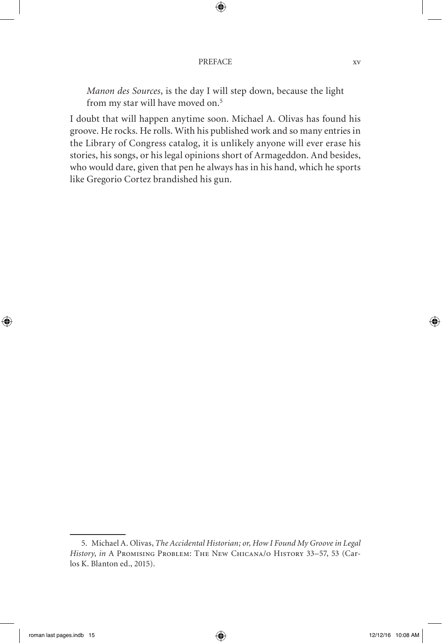### PREFACE xv

*Manon des Sources*, is the day I will step down, because the light from my star will have moved on.5

I doubt that will happen anytime soon. Michael A. Olivas has found his groove. He rocks. He rolls. With his published work and so many entries in the Library of Congress catalog, it is unlikely anyone will ever erase his stories, his songs, or his legal opinions short of Armageddon. And besides, who would dare, given that pen he always has in his hand, which he sports like Gregorio Cortez brandished his gun.

<sup>5.</sup> Michael A. Olivas, *The Accidental Historian; or, How I Found My Groove in Legal History*, *in* A Promising Problem: The New Chicana/o History 33–57, 53 (Carlos K. Blanton ed., 2015).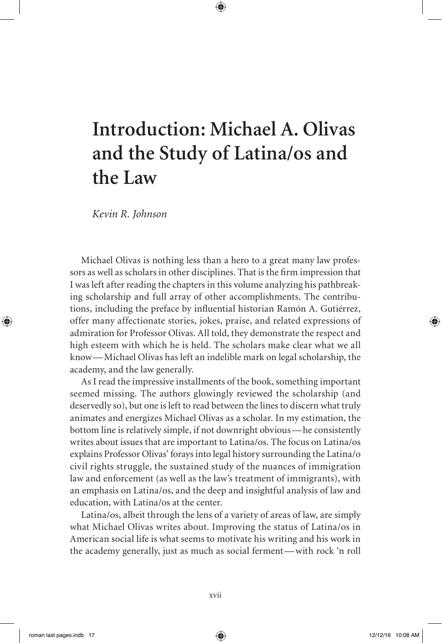## **Introduction: Michael A. Olivas and the Study of Latina/os and the Law**

*Kevin R. Johnson*

Michael Olivas is nothing less than a hero to a great many law professors as well as scholars in other disciplines. That is the firm impression that I was left after reading the chapters in this volume analyzing his pathbreaking scholarship and full array of other accomplishments. The contributions, including the preface by influential historian Ramón A. Gutiérrez, offer many affectionate stories, jokes, praise, and related expressions of admiration for Professor Olivas. All told, they demonstrate the respect and high esteem with which he is held. The scholars make clear what we all know— Michael Olivas has left an indelible mark on legal scholarship, the academy, and the law generally.

As I read the impressive installments of the book, something important seemed missing. The authors glowingly reviewed the scholarship (and deservedly so), but one is left to read between the lines to discern what truly animates and energizes Michael Olivas as a scholar. In my estimation, the bottom line is relatively simple, if not downright obvious— he consistently writes about issues that are important to Latina/os. The focus on Latina/os explains Professor Olivas' forays into legal history surrounding the Latina/o civil rights struggle, the sustained study of the nuances of immigration law and enforcement (as well as the law's treatment of immigrants), with an emphasis on Latina/os, and the deep and insightful analysis of law and education, with Latina/os at the center.

Latina/os, albeit through the lens of a variety of areas of law, are simply what Michael Olivas writes about. Improving the status of Latina/os in American social life is what seems to motivate his writing and his work in the academy generally, just as much as social ferment— with rock 'n roll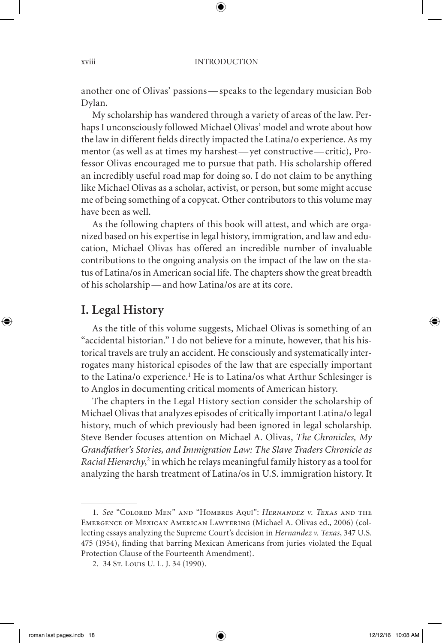another one of Olivas' passions— speaks to the legendary musician Bob Dylan.

My scholarship has wandered through a variety of areas of the law. Perhaps I unconsciously followed Michael Olivas' model and wrote about how the law in different fields directly impacted the Latina/o experience. As my mentor (as well as at times my harshest— yet constructive— critic), Professor Olivas encouraged me to pursue that path. His scholarship offered an incredibly useful road map for doing so. I do not claim to be anything like Michael Olivas as a scholar, activist, or person, but some might accuse me of being something of a copycat. Other contributors to this volume may have been as well.

As the following chapters of this book will attest, and which are organized based on his expertise in legal history, immigration, and law and education, Michael Olivas has offered an incredible number of invaluable contributions to the ongoing analysis on the impact of the law on the status of Latina/os in American social life. The chapters show the great breadth of his scholarship— and how Latina/os are at its core.

### **I. Legal History**

As the title of this volume suggests, Michael Olivas is something of an "accidental historian." I do not believe for a minute, however, that his historical travels are truly an accident. He consciously and systematically interrogates many historical episodes of the law that are especially important to the Latina/o experience.<sup>1</sup> He is to Latina/os what Arthur Schlesinger is to Anglos in documenting critical moments of American history.

The chapters in the Legal History section consider the scholarship of Michael Olivas that analyzes episodes of critically important Latina/o legal history, much of which previously had been ignored in legal scholarship. Steve Bender focuses attention on Michael A. Olivas, *The Chronicles, My Grandfather's Stories, and Immigration Law: The Slave Traders Chronicle as*  Racial Hierarchy,<sup>2</sup> in which he relays meaningful family history as a tool for analyzing the harsh treatment of Latina/os in U.S. immigration history. It

<sup>1.</sup> *See* "Colored Men" and "Hombres Aquí": *Hernandez v. Texas* and the Emergence of Mexican American Lawyering (Michael A. Olivas ed., 2006) (collecting essays analyzing the Supreme Court's decision in *Hernandez v. Texas*, 347 U.S. 475 (1954), finding that barring Mexican Americans from juries violated the Equal Protection Clause of the Fourteenth Amendment).

<sup>2. 34</sup> St. Louis U. L. J. 34 (1990).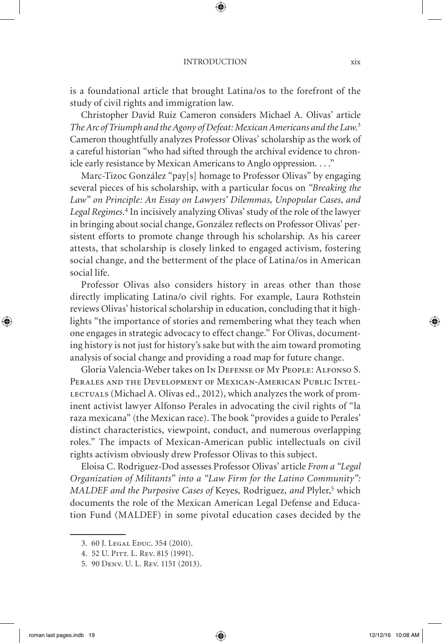is a foundational article that brought Latina/os to the forefront of the study of civil rights and immigration law.

Christopher David Ruiz Cameron considers Michael A. Olivas' article *The Arc of Triumph and the Agony of Defeat: Mexican Americans and the Law*. 3 Cameron thoughtfully analyzes Professor Olivas' scholarship as the work of a careful historian "who had sifted through the archival evidence to chronicle early resistance by Mexican Americans to Anglo oppression. . . ."

Marc-Tizoc González "pay[s] homage to Professor Olivas" by engaging several pieces of his scholarship, with a particular focus on *"Breaking the Law" on Principle: An Essay on Lawyers' Dilemmas, Unpopular Cases, and Legal Regimes*. 4 In incisively analyzing Olivas' study of the role of the lawyer in bringing about social change, González reflects on Professor Olivas' persistent efforts to promote change through his scholarship. As his career attests, that scholarship is closely linked to engaged activism, fostering social change, and the betterment of the place of Latina/os in American social life.

Professor Olivas also considers history in areas other than those directly implicating Latina/o civil rights. For example, Laura Rothstein reviews Olivas' historical scholarship in education, concluding that it highlights "the importance of stories and remembering what they teach when one engages in strategic advocacy to effect change." For Olivas, documenting history is not just for history's sake but with the aim toward promoting analysis of social change and providing a road map for future change.

Gloria Valencia-Weber takes on In Defense of My People: Alfonso S. Perales and the Development of Mexican-American Public Intel-LECTUALS (Michael A. Olivas ed., 2012), which analyzes the work of prominent activist lawyer Alfonso Perales in advocating the civil rights of "la raza mexicana" (the Mexican race). The book "provides a guide to Perales' distinct characteristics, viewpoint, conduct, and numerous overlapping roles." The impacts of Mexican-American public intellectuals on civil rights activism obviously drew Professor Olivas to this subject.

Eloisa C. Rodriguez-Dod assesses Professor Olivas' article *From a "Legal Organization of Militants" into a "Law Firm for the Latino Community":*  MALDEF and the Purposive Cases of Keyes, Rodriguez, and Plyler,<sup>5</sup> which documents the role of the Mexican American Legal Defense and Education Fund (MALDEF) in some pivotal education cases decided by the

<sup>3. 60</sup> J. Legal Educ. 354 (2010).

<sup>4. 52</sup> U. PITT. L. REV. 815 (1991).

<sup>5. 90</sup> Denv. U. L. Rev. 1151 (2013).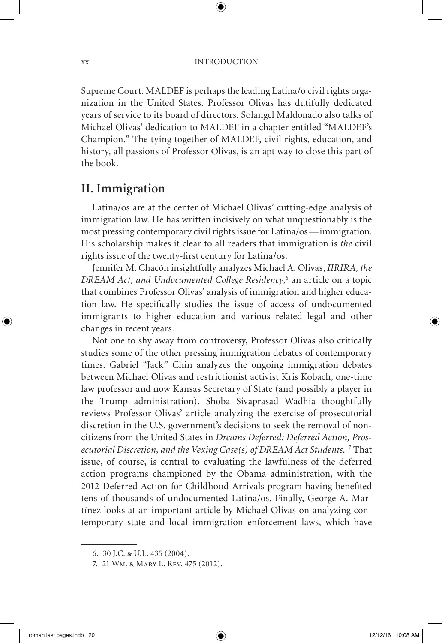xx INTRODUCTION

Supreme Court. MALDEF is perhaps the leading Latina/o civil rights organization in the United States. Professor Olivas has dutifully dedicated years of service to its board of directors. Solangel Maldonado also talks of Michael Olivas' dedication to MALDEF in a chapter entitled "MALDEF's Champion." The tying together of MALDEF, civil rights, education, and history, all passions of Professor Olivas, is an apt way to close this part of the book.

### **II. Immigration**

Latina/os are at the center of Michael Olivas' cutting-edge analysis of immigration law. He has written incisively on what unquestionably is the most pressing contemporary civil rights issue for Latina/os— immigration. His scholarship makes it clear to all readers that immigration is *the* civil rights issue of the twenty-first century for Latina/os.

Jennifer M. Chacón insightfully analyzes Michael A. Olivas, *IIRIRA, the DREAM Act, and Undocumented College Residency*, 6 an article on a topic that combines Professor Olivas' analysis of immigration and higher education law. He specifically studies the issue of access of undocumented immigrants to higher education and various related legal and other changes in recent years.

Not one to shy away from controversy, Professor Olivas also critically studies some of the other pressing immigration debates of contemporary times. Gabriel "Jack" Chin analyzes the ongoing immigration debates between Michael Olivas and restrictionist activist Kris Kobach, one-time law professor and now Kansas Secretary of State (and possibly a player in the Trump administration). Shoba Sivaprasad Wadhia thoughtfully reviews Professor Olivas' article analyzing the exercise of prosecutorial discretion in the U.S. government's decisions to seek the removal of noncitizens from the United States in *Dreams Deferred: Deferred Action, Pros*ecutorial Discretion, and the Vexing Case(s) of DREAM Act Students. <sup>7</sup> That issue, of course, is central to evaluating the lawfulness of the deferred action programs championed by the Obama administration, with the 2012 Deferred Action for Childhood Arrivals program having benefited tens of thousands of undocumented Latina/os. Finally, George A. Martínez looks at an important article by Michael Olivas on analyzing contemporary state and local immigration enforcement laws, which have

<sup>6. 30</sup> J.C. & U.L. 435 (2004).

<sup>7. 21</sup> Wm. & Mary L. Rev. 475 (2012).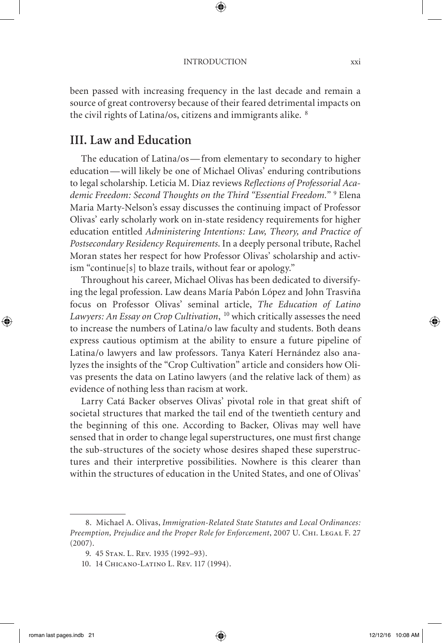been passed with increasing frequency in the last decade and remain a source of great controversy because of their feared detrimental impacts on the civil rights of Latina/os, citizens and immigrants alike. <sup>8</sup>

## **III. Law and Education**

The education of Latina/os— from elementary to secondary to higher education— will likely be one of Michael Olivas' enduring contributions to legal scholarship. Leticia M. Diaz reviews *Reflections of Professorial Academic Freedom: Second Thoughts on the Third "Essential Freedom."* <sup>9</sup> Elena Maria Marty-Nelson's essay discusses the continuing impact of Professor Olivas' early scholarly work on in-state residency requirements for higher education entitled *Administering Intentions: Law, Theory, and Practice of Postsecondary Residency Requirements*. In a deeply personal tribute, Rachel Moran states her respect for how Professor Olivas' scholarship and activism "continue[s] to blaze trails, without fear or apology."

Throughout his career, Michael Olivas has been dedicated to diversifying the legal profession. Law deans María Pabón López and John Trasviña focus on Professor Olivas' seminal article, *The Education of Latino Lawyers: An Essay on Crop Cultivation*, 10 which critically assesses the need to increase the numbers of Latina/o law faculty and students. Both deans express cautious optimism at the ability to ensure a future pipeline of Latina/o lawyers and law professors. Tanya Katerí Hernández also analyzes the insights of the "Crop Cultivation" article and considers how Olivas presents the data on Latino lawyers (and the relative lack of them) as evidence of nothing less than racism at work.

Larry Catá Backer observes Olivas' pivotal role in that great shift of societal structures that marked the tail end of the twentieth century and the beginning of this one. According to Backer, Olivas may well have sensed that in order to change legal superstructures, one must first change the sub-structures of the society whose desires shaped these superstructures and their interpretive possibilities. Nowhere is this clearer than within the structures of education in the United States, and one of Olivas'

<sup>8.</sup> Michael A. Olivas, *Immigration-Related State Statutes and Local Ordinances:*  Preemption, Prejudice and the Proper Role for Enforcement, 2007 U. CHI. LEGAL F. 27 (2007).

<sup>9. 45</sup> Stan. L. Rev. 1935 (1992–93).

<sup>10. 14</sup> Chicano-Latino L. Rev. 117 (1994).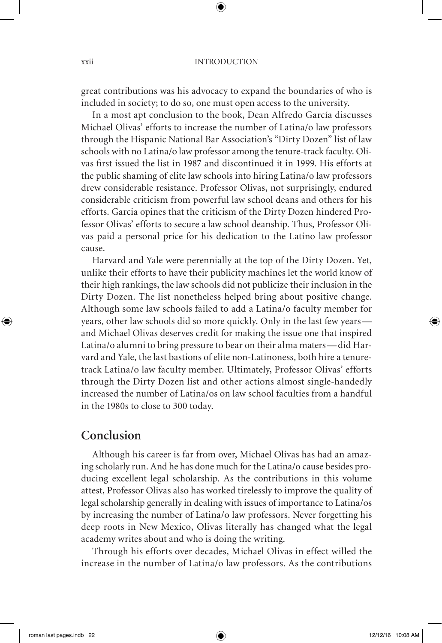great contributions was his advocacy to expand the boundaries of who is included in society; to do so, one must open access to the university.

In a most apt conclusion to the book, Dean Alfredo García discusses Michael Olivas' efforts to increase the number of Latina/o law professors through the Hispanic National Bar Association's "Dirty Dozen" list of law schools with no Latina/o law professor among the tenure-track faculty. Olivas first issued the list in 1987 and discontinued it in 1999. His efforts at the public shaming of elite law schools into hiring Latina/o law professors drew considerable resistance. Professor Olivas, not surprisingly, endured considerable criticism from powerful law school deans and others for his efforts. Garcia opines that the criticism of the Dirty Dozen hindered Professor Olivas' efforts to secure a law school deanship. Thus, Professor Olivas paid a personal price for his dedication to the Latino law professor cause.

Harvard and Yale were perennially at the top of the Dirty Dozen. Yet, unlike their efforts to have their publicity machines let the world know of their high rankings, the law schools did not publicize their inclusion in the Dirty Dozen. The list nonetheless helped bring about positive change. Although some law schools failed to add a Latina/o faculty member for years, other law schools did so more quickly. Only in the last few years and Michael Olivas deserves credit for making the issue one that inspired Latina/o alumni to bring pressure to bear on their alma maters— did Harvard and Yale, the last bastions of elite non-Latinoness, both hire a tenuretrack Latina/o law faculty member. Ultimately, Professor Olivas' efforts through the Dirty Dozen list and other actions almost single-handedly increased the number of Latina/os on law school faculties from a handful in the 1980s to close to 300 today.

### **Conclusion**

Although his career is far from over, Michael Olivas has had an amazing scholarly run. And he has done much for the Latina/o cause besides producing excellent legal scholarship. As the contributions in this volume attest, Professor Olivas also has worked tirelessly to improve the quality of legal scholarship generally in dealing with issues of importance to Latina/os by increasing the number of Latina/o law professors. Never forgetting his deep roots in New Mexico, Olivas literally has changed what the legal academy writes about and who is doing the writing.

Through his efforts over decades, Michael Olivas in effect willed the increase in the number of Latina/o law professors. As the contributions